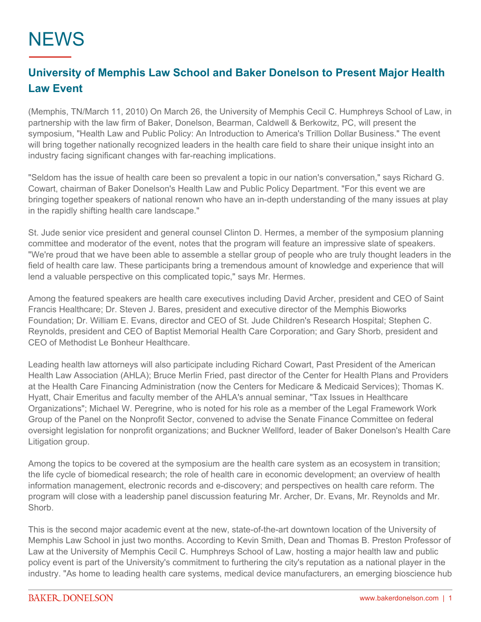## **NEWS**

## **University of Memphis Law School and Baker Donelson to Present Major Health Law Event**

(Memphis, TN/March 11, 2010) On March 26, the University of Memphis Cecil C. Humphreys School of Law, in partnership with the law firm of Baker, Donelson, Bearman, Caldwell & Berkowitz, PC, will present the symposium, "Health Law and Public Policy: An Introduction to America's Trillion Dollar Business." The event will bring together nationally recognized leaders in the health care field to share their unique insight into an industry facing significant changes with far-reaching implications.

"Seldom has the issue of health care been so prevalent a topic in our nation's conversation," says Richard G. Cowart, chairman of Baker Donelson's Health Law and Public Policy Department. "For this event we are bringing together speakers of national renown who have an in-depth understanding of the many issues at play in the rapidly shifting health care landscape."

St. Jude senior vice president and general counsel Clinton D. Hermes, a member of the symposium planning committee and moderator of the event, notes that the program will feature an impressive slate of speakers. "We're proud that we have been able to assemble a stellar group of people who are truly thought leaders in the field of health care law. These participants bring a tremendous amount of knowledge and experience that will lend a valuable perspective on this complicated topic," says Mr. Hermes.

Among the featured speakers are health care executives including David Archer, president and CEO of Saint Francis Healthcare; Dr. Steven J. Bares, president and executive director of the Memphis Bioworks Foundation; Dr. William E. Evans, director and CEO of St. Jude Children's Research Hospital; Stephen C. Reynolds, president and CEO of Baptist Memorial Health Care Corporation; and Gary Shorb, president and CEO of Methodist Le Bonheur Healthcare.

Leading health law attorneys will also participate including Richard Cowart, Past President of the American Health Law Association (AHLA); Bruce Merlin Fried, past director of the Center for Health Plans and Providers at the Health Care Financing Administration (now the Centers for Medicare & Medicaid Services); Thomas K. Hyatt, Chair Emeritus and faculty member of the AHLA's annual seminar, "Tax Issues in Healthcare Organizations"; Michael W. Peregrine, who is noted for his role as a member of the Legal Framework Work Group of the Panel on the Nonprofit Sector, convened to advise the Senate Finance Committee on federal oversight legislation for nonprofit organizations; and Buckner Wellford, leader of Baker Donelson's Health Care Litigation group.

Among the topics to be covered at the symposium are the health care system as an ecosystem in transition; the life cycle of biomedical research; the role of health care in economic development; an overview of health information management, electronic records and e-discovery; and perspectives on health care reform. The program will close with a leadership panel discussion featuring Mr. Archer, Dr. Evans, Mr. Reynolds and Mr. Shorb.

This is the second major academic event at the new, state-of-the-art downtown location of the University of Memphis Law School in just two months. According to Kevin Smith, Dean and Thomas B. Preston Professor of Law at the University of Memphis Cecil C. Humphreys School of Law, hosting a major health law and public policy event is part of the University's commitment to furthering the city's reputation as a national player in the industry. "As home to leading health care systems, medical device manufacturers, an emerging bioscience hub